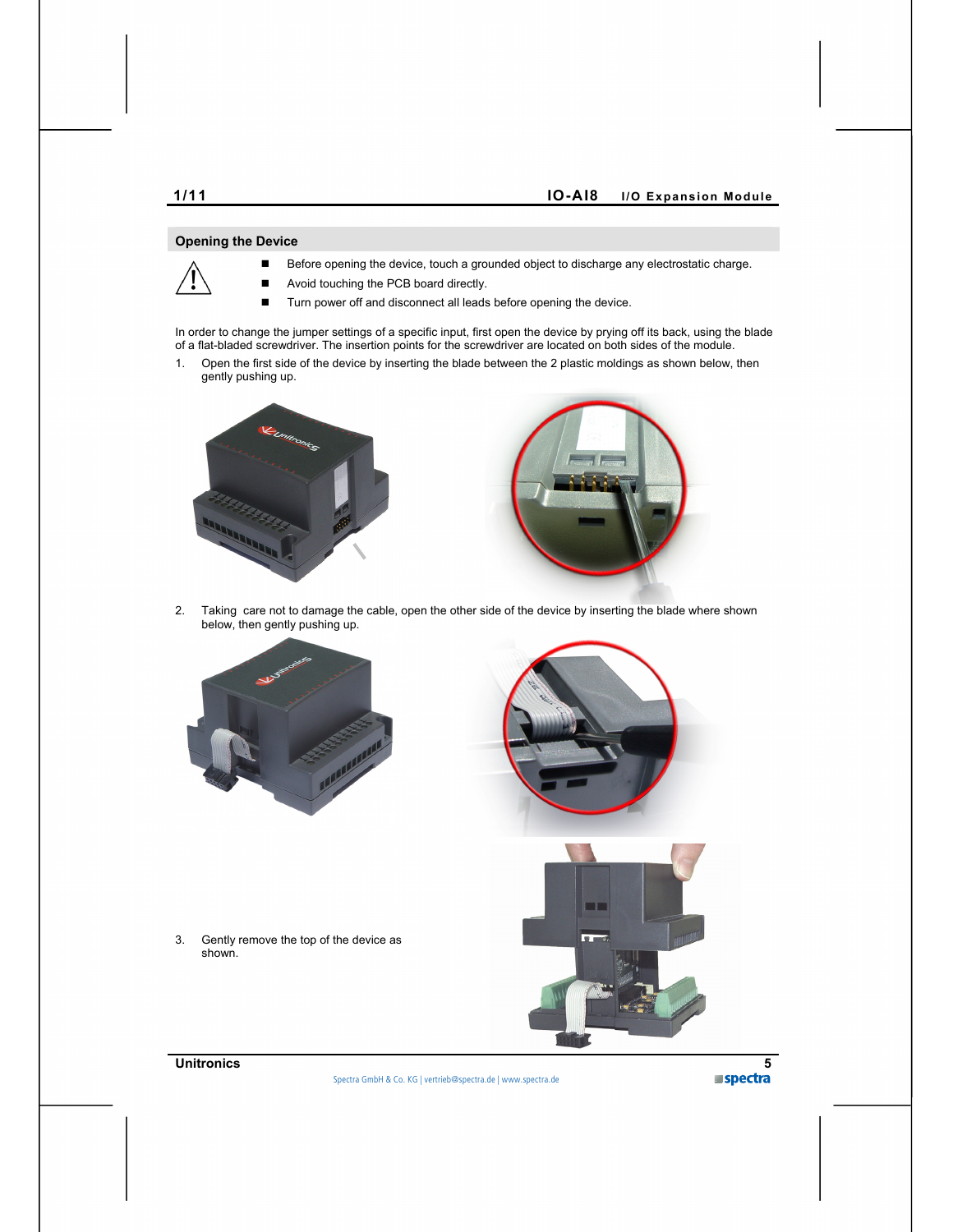## **Opening the Device**

- Before opening the device, touch a grounded object to discharge any electrostatic charge.
- Avoid touching the PCB board directly.
- Turn power off and disconnect all leads before opening the device.

In order to change the jumper settings of a specific input, first open the device by prying off its back, using the blade of a flat-bladed screwdriver. The insertion points for the screwdriver are located on both sides of the module.

1. Open the first side of the device by inserting the blade between the 2 plastic moldings as shown below, then gently pushing up.





2. Taking care not to damage the cable, open the other side of the device by inserting the blade where shown below, then gently pushing up.



3. Gently remove the top of the device as shown.



Spectra GmbH & Co. KG vertrieb@spectra.de

Spectra (Schweiz) AG info@spectra.ch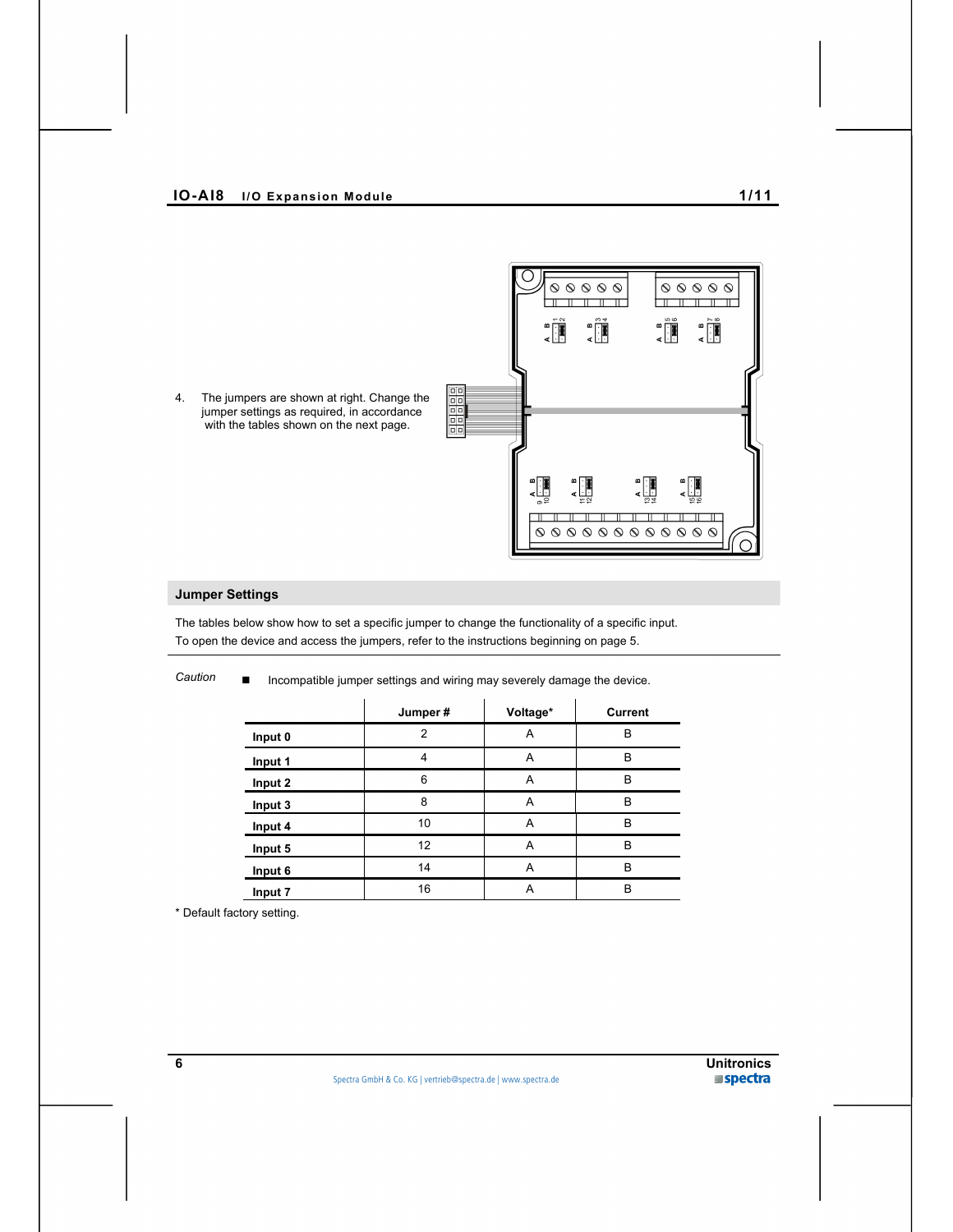

4. The jumpers are shown at right. Change the jumper settings as required, in accordance with the tables shown on the next page.

# **Jumper Settings**

The tables below show how to set a specific jumper to change the functionality of a specific input. To open the device and access the jumpers, refer to the instructions beginning on page 5.

|         | Jumper#        | Voltage* | <b>Current</b> |
|---------|----------------|----------|----------------|
| Input 0 | $\overline{2}$ | A        | B              |
| Input 1 | 4              | A        | B              |
| Input 2 | 6              | A        | B              |
| Input 3 | 8              | A        | B              |
| Input 4 | 10             | A        | B              |
| Input 5 | 12             | A        | B              |
| Input 6 | 14             | A        | B              |
| Input 7 | 16             | A        | B              |

Caution ■ Incompatible jumper settings and wiring may severely damage the device.

\* Default factory setting.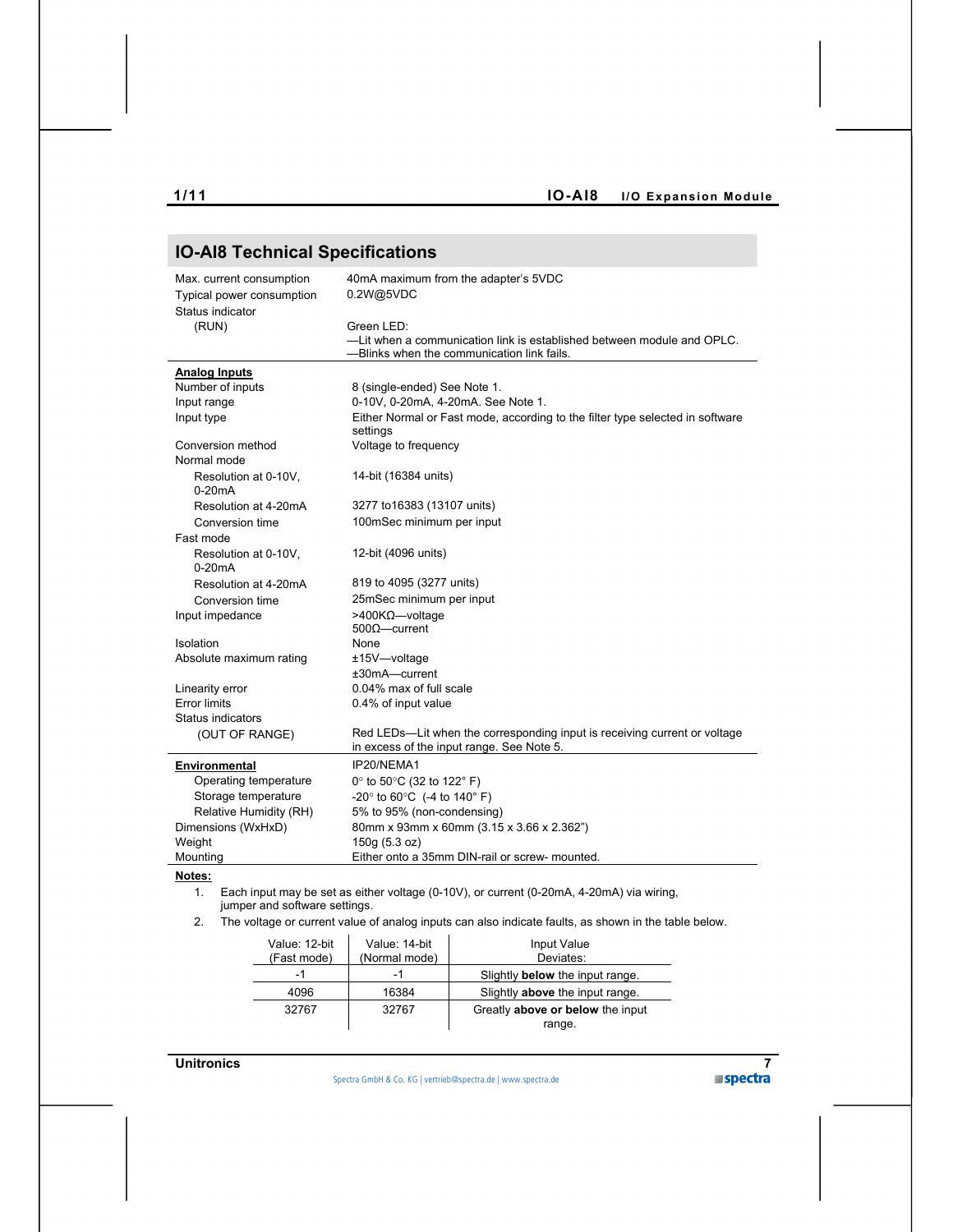| <b>IO-AI8 Technical Specifications</b>                                    |                                                                                                                        |  |  |
|---------------------------------------------------------------------------|------------------------------------------------------------------------------------------------------------------------|--|--|
| Max. current consumption<br>Typical power consumption<br>Status indicator | 40mA maximum from the adapter's 5VDC<br>0.2W@5VDC                                                                      |  |  |
| (RUN)                                                                     | Green LED:                                                                                                             |  |  |
|                                                                           | -Lit when a communication link is established between module and OPLC.<br>--Blinks when the communication link fails.  |  |  |
| <b>Analog Inputs</b>                                                      |                                                                                                                        |  |  |
| Number of inputs                                                          | 8 (single-ended) See Note 1.                                                                                           |  |  |
| Input range                                                               | 0-10V, 0-20mA, 4-20mA. See Note 1.                                                                                     |  |  |
| Input type                                                                | Either Normal or Fast mode, according to the filter type selected in software<br>settings                              |  |  |
| Conversion method                                                         | Voltage to frequency                                                                                                   |  |  |
| Normal mode                                                               |                                                                                                                        |  |  |
| Resolution at 0-10V.<br>$0-20mA$                                          | 14-bit (16384 units)                                                                                                   |  |  |
| Resolution at 4-20mA                                                      | 3277 to 16383 (13107 units)                                                                                            |  |  |
| Conversion time                                                           | 100mSec minimum per input                                                                                              |  |  |
| Fast mode                                                                 |                                                                                                                        |  |  |
| Resolution at 0-10V,<br>$0-20mA$                                          | 12-bit (4096 units)                                                                                                    |  |  |
| Resolution at 4-20mA                                                      | 819 to 4095 (3277 units)                                                                                               |  |  |
| Conversion time                                                           | 25mSec minimum per input                                                                                               |  |  |
| Input impedance                                                           | >400KΩ-voltage                                                                                                         |  |  |
|                                                                           | $5000$ -current                                                                                                        |  |  |
| Isolation                                                                 | None                                                                                                                   |  |  |
| Absolute maximum rating                                                   | ±15V-voltage                                                                                                           |  |  |
|                                                                           | $±30mA$ -current                                                                                                       |  |  |
| Linearity error                                                           | 0.04% max of full scale                                                                                                |  |  |
| <b>Error limits</b>                                                       | 0.4% of input value                                                                                                    |  |  |
| Status indicators                                                         |                                                                                                                        |  |  |
| (OUT OF RANGE)                                                            | Red LEDs—Lit when the corresponding input is receiving current or voltage<br>in excess of the input range. See Note 5. |  |  |
| Environmental                                                             | IP20/NEMA1                                                                                                             |  |  |
| Operating temperature                                                     | 0° to 50°C (32 to 122° F)                                                                                              |  |  |
| Storage temperature                                                       | -20 $\degree$ to 60 $\degree$ C (-4 to 140 $\degree$ F)                                                                |  |  |
| Relative Humidity (RH)                                                    | 5% to 95% (non-condensing)                                                                                             |  |  |
| Dimensions (WxHxD)                                                        | 80mm x 93mm x 60mm (3.15 x 3.66 x 2.362")                                                                              |  |  |
| Weight                                                                    | 150g (5.3 oz)                                                                                                          |  |  |
| Mounting                                                                  | Either onto a 35mm DIN-rail or screw- mounted.                                                                         |  |  |
| Notes:                                                                    |                                                                                                                        |  |  |

### **Notes:**

- 1. Each input may be set as either voltage (0-10V), or current (0-20mA, 4-20mA) via wiring, jumper and software settings.
- 2. The voltage or current value of analog inputs can also indicate faults, as shown in the table below.

| Value: 12-bit<br>(Fast mode) | Value: 14-bit<br>(Normal mode) | Input Value<br>Deviates:                   |
|------------------------------|--------------------------------|--------------------------------------------|
| -1                           | -1                             | Slightly <b>below</b> the input range.     |
| 4096                         | 16384                          | Slightly above the input range.            |
| 32767                        | 32767                          | Greatly above or below the input<br>range. |